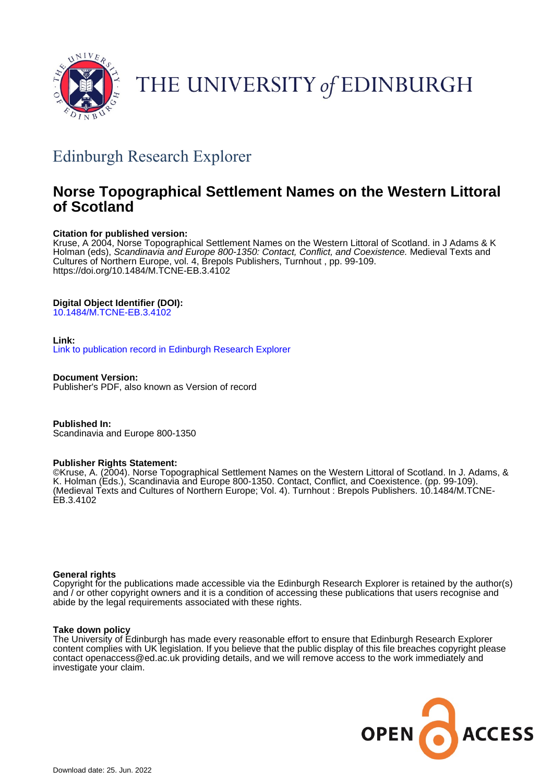

# THE UNIVERSITY of EDINBURGH

## Edinburgh Research Explorer

### **Norse Topographical Settlement Names on the Western Littoral of Scotland**

#### **Citation for published version:**

Kruse, A 2004, Norse Topographical Settlement Names on the Western Littoral of Scotland. in J Adams & K Holman (eds), Scandinavia and Europe 800-1350: Contact, Conflict, and Coexistence. Medieval Texts and Cultures of Northern Europe, vol. 4, Brepols Publishers, Turnhout , pp. 99-109. <https://doi.org/10.1484/M.TCNE-EB.3.4102>

### **Digital Object Identifier (DOI):**

[10.1484/M.TCNE-EB.3.4102](https://doi.org/10.1484/M.TCNE-EB.3.4102)

#### **Link:**

[Link to publication record in Edinburgh Research Explorer](https://www.research.ed.ac.uk/en/publications/561755d8-3047-4728-be91-0a1a03de9ec7)

**Document Version:** Publisher's PDF, also known as Version of record

**Published In:** Scandinavia and Europe 800-1350

#### **Publisher Rights Statement:**

©Kruse, A. (2004). Norse Topographical Settlement Names on the Western Littoral of Scotland. In J. Adams, & K. Holman (Eds.), Scandinavia and Europe 800-1350. Contact, Conflict, and Coexistence. (pp. 99-109). (Medieval Texts and Cultures of Northern Europe; Vol. 4). Turnhout : Brepols Publishers. 10.1484/M.TCNE-EB.3.4102

#### **General rights**

Copyright for the publications made accessible via the Edinburgh Research Explorer is retained by the author(s) and / or other copyright owners and it is a condition of accessing these publications that users recognise and abide by the legal requirements associated with these rights.

#### **Take down policy**

The University of Edinburgh has made every reasonable effort to ensure that Edinburgh Research Explorer content complies with UK legislation. If you believe that the public display of this file breaches copyright please contact openaccess@ed.ac.uk providing details, and we will remove access to the work immediately and investigate your claim.

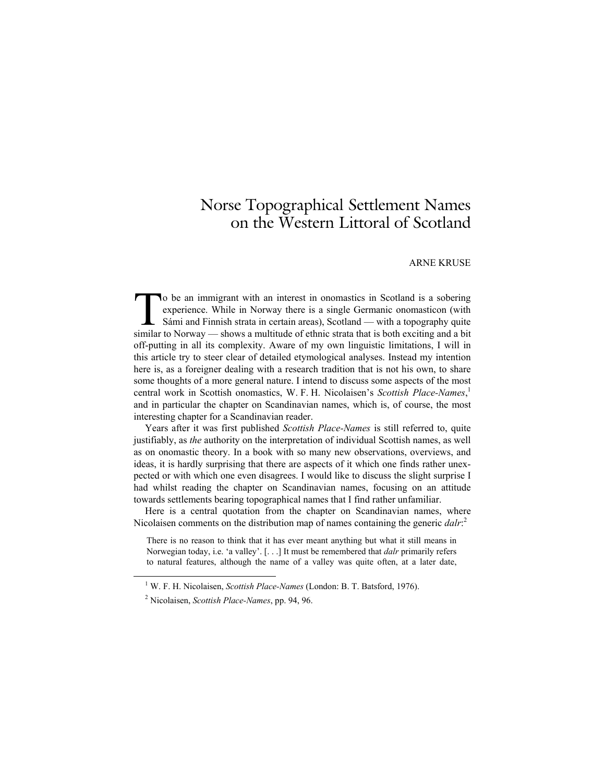### Norse Topographical Settlement Names on the Western Littoral of Scotland

#### ARNE KRUSE

o be an immigrant with an interest in onomastics in Scotland is a sobering experience. While in Norway there is a single Germanic onomasticon (with Sámi and Finnish strata in certain areas), Scotland — with a topography quite To be an immigrant with an interest in onomastics in Scotland is a sobering experience. While in Norway there is a single Germanic onomasticon (with Sámi and Finnish strata in certain areas), Scotland — with a topography q off-putting in all its complexity. Aware of my own linguistic limitations, I will in this article try to steer clear of detailed etymological analyses. Instead my intention here is, as a foreigner dealing with a research tradition that is not his own, to share some thoughts of a more general nature. I intend to discuss some aspects of the most central work in Scottish onomastics, W. F. H. Nicolaisen's *Scottish Place-Names*, 1 and in particular the chapter on Scandinavian names, which is, of course, the most interesting chapter for a Scandinavian reader.

Years after it was first published *Scottish Place-Names* is still referred to, quite justifiably, as *the* authority on the interpretation of individual Scottish names, as well as on onomastic theory. In a book with so many new observations, overviews, and ideas, it is hardly surprising that there are aspects of it which one finds rather unexpected or with which one even disagrees. I would like to discuss the slight surprise I had whilst reading the chapter on Scandinavian names, focusing on an attitude towards settlements bearing topographical names that I find rather unfamiliar.

Here is a central quotation from the chapter on Scandinavian names, where Nicolaisen comments on the distribution map of names containing the generic *dalr*: 2

There is no reason to think that it has ever meant anything but what it still means in Norwegian today, i.e. 'a valley'. [. . .] It must be remembered that *dalr* primarily refers to natural features, although the name of a valley was quite often, at a later date,

 <sup>1</sup> W. F. H. Nicolaisen, *Scottish Place-Names* (London: B. T. Batsford, 1976).

<sup>2</sup> Nicolaisen, *Scottish Place-Names*, pp. 94, 96.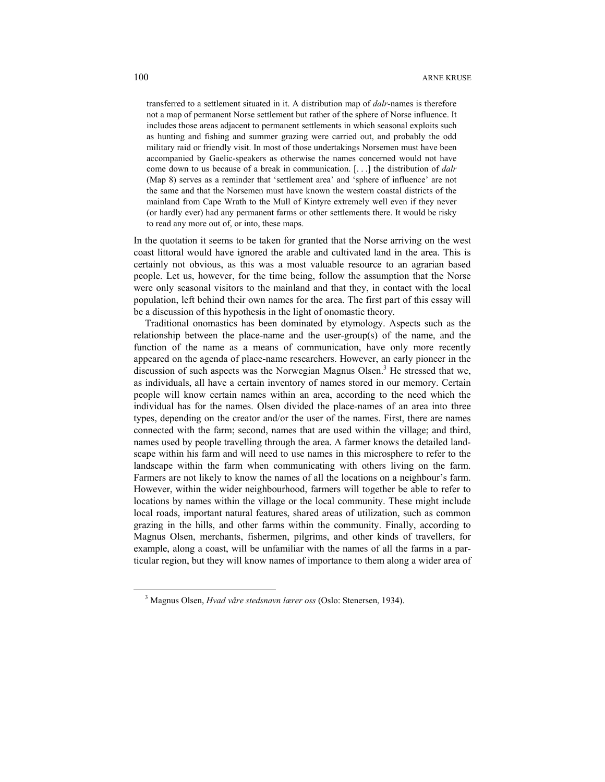transferred to a settlement situated in it. A distribution map of *dalr*-names is therefore not a map of permanent Norse settlement but rather of the sphere of Norse influence. It includes those areas adjacent to permanent settlements in which seasonal exploits such as hunting and fishing and summer grazing were carried out, and probably the odd military raid or friendly visit. In most of those undertakings Norsemen must have been accompanied by Gaelic-speakers as otherwise the names concerned would not have come down to us because of a break in communication. [. . .] the distribution of *dalr* (Map 8) serves as a reminder that 'settlement area' and 'sphere of influence' are not the same and that the Norsemen must have known the western coastal districts of the mainland from Cape Wrath to the Mull of Kintyre extremely well even if they never (or hardly ever) had any permanent farms or other settlements there. It would be risky to read any more out of, or into, these maps.

In the quotation it seems to be taken for granted that the Norse arriving on the west coast littoral would have ignored the arable and cultivated land in the area. This is certainly not obvious, as this was a most valuable resource to an agrarian based people. Let us, however, for the time being, follow the assumption that the Norse were only seasonal visitors to the mainland and that they, in contact with the local population, left behind their own names for the area. The first part of this essay will be a discussion of this hypothesis in the light of onomastic theory.

Traditional onomastics has been dominated by etymology. Aspects such as the relationship between the place-name and the user-group(s) of the name, and the function of the name as a means of communication, have only more recently appeared on the agenda of place-name researchers. However, an early pioneer in the discussion of such aspects was the Norwegian Magnus Olsen.<sup>3</sup> He stressed that we, as individuals, all have a certain inventory of names stored in our memory. Certain people will know certain names within an area, according to the need which the individual has for the names. Olsen divided the place-names of an area into three types, depending on the creator and/or the user of the names. First, there are names connected with the farm; second, names that are used within the village; and third, names used by people travelling through the area. A farmer knows the detailed landscape within his farm and will need to use names in this microsphere to refer to the landscape within the farm when communicating with others living on the farm. Farmers are not likely to know the names of all the locations on a neighbour's farm. However, within the wider neighbourhood, farmers will together be able to refer to locations by names within the village or the local community. These might include local roads, important natural features, shared areas of utilization, such as common grazing in the hills, and other farms within the community. Finally, according to Magnus Olsen, merchants, fishermen, pilgrims, and other kinds of travellers, for example, along a coast, will be unfamiliar with the names of all the farms in a particular region, but they will know names of importance to them along a wider area of

 $\frac{1}{3}$ Magnus Olsen, *Hvad våre stedsnavn lærer oss* (Oslo: Stenersen, 1934).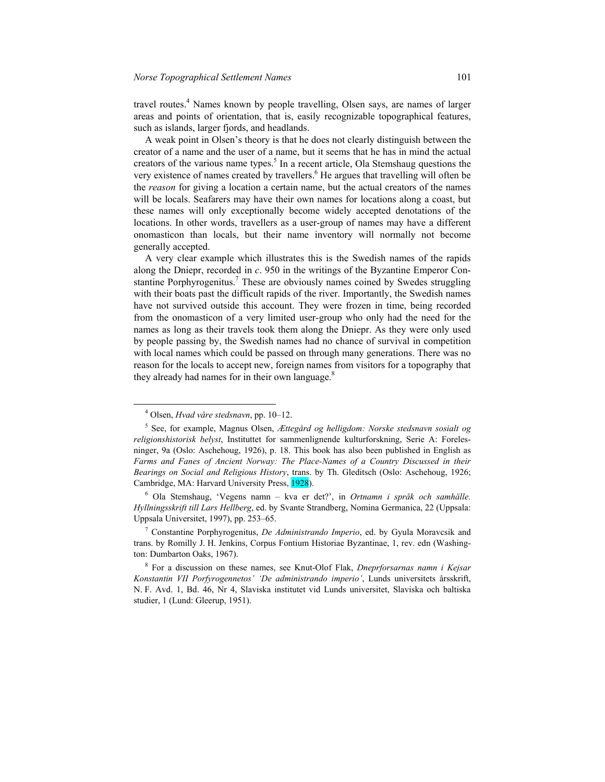travel routes.<sup>4</sup> Names known by people travelling, Olsen says, are names of larger areas and points of orientation, that is, easily recognizable topographical features, such as islands, larger fjords, and headlands.

A weak point in Olsen's theory is that he does not clearly distinguish between the creator of a name and the user of a name, but it seems that he has in mind the actual creators of the various name types. $5$  In a recent article, Ola Stemshaug questions the very existence of names created by travellers.<sup>6</sup> He argues that travelling will often be the *reason* for giving a location a certain name, but the actual creators of the names will be locals. Seafarers may have their own names for locations along a coast, but these names will only exceptionally become widely accepted denotations of the locations. In other words, travellers as a user-group of names may have a different onomasticon than locals, but their name inventory will normally not become generally accepted.

A very clear example which illustrates this is the Swedish names of the rapids along the Dniepr, recorded in *c*. 950 in the writings of the Byzantine Emperor Constantine Porphyrogenitus.<sup>7</sup> These are obviously names coined by Swedes struggling with their boats past the difficult rapids of the river. Importantly, the Swedish names have not survived outside this account. They were frozen in time, being recorded from the onomasticon of a very limited user-group who only had the need for the names as long as their travels took them along the Dniepr. As they were only used by people passing by, the Swedish names had no chance of survival in competition with local names which could be passed on through many generations. There was no reason for the locals to accept new, foreign names from visitors for a topography that they already had names for in their own language. $8$ 

 <sup>4</sup> Olsen, *Hvad våre stedsnavn*, pp. 10–12.

<sup>5</sup> See, for example, Magnus Olsen, *Ættegård og helligdom: Norske stedsnavn sosialt og religionshistorisk belyst*, Instituttet for sammenlignende kulturforskning, Serie A: Forelesninger, 9a (Oslo: Aschehoug, 1926), p. 18. This book has also been published in English as *Farms and Fanes of Ancient Norway: The Place-Names of a Country Discussed in their Bearings on Social and Religious History*, trans. by Th. Gleditsch (Oslo: Aschehoug, 1926; Cambridge, MA: Harvard University Press, 1928).

<sup>6</sup> Ola Stemshaug, 'Vegens namn – kva er det?', in *Ortnamn i språk och samhälle. Hyllningsskrift till Lars Hellberg*, ed. by Svante Strandberg, Nomina Germanica, 22 (Uppsala: Uppsala Universitet, 1997), pp. 253–65.

<sup>7</sup> Constantine Porphyrogenitus, *De Administrando Imperio*, ed. by Gyula Moravcsik and trans. by Romilly J. H. Jenkins, Corpus Fontium Historiae Byzantinae, 1, rev. edn (Washington: Dumbarton Oaks, 1967).

<sup>8</sup> For a discussion on these names, see Knut-Olof Flak, *Dneprforsarnas namn i Kejsar Konstantin VII Porfyrogennetos' 'De administrando imperio'*, Lunds universitets årsskrift, N. F. Avd. 1, Bd. 46, Nr 4, Slaviska institutet vid Lunds universitet, Slaviska och baltiska studier, 1 (Lund: Gleerup, 1951).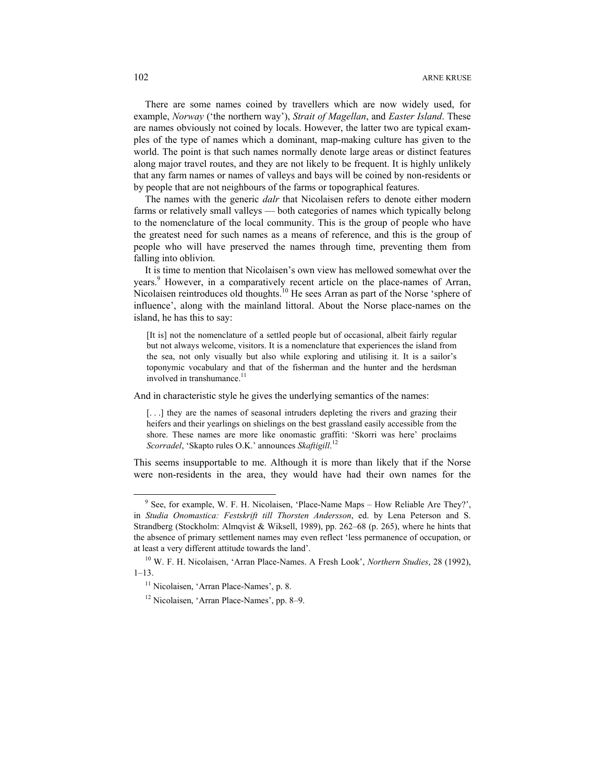There are some names coined by travellers which are now widely used, for example, *Norway* ('the northern way'), *Strait of Magellan*, and *Easter Island*. These are names obviously not coined by locals. However, the latter two are typical examples of the type of names which a dominant, map-making culture has given to the world. The point is that such names normally denote large areas or distinct features along major travel routes, and they are not likely to be frequent. It is highly unlikely that any farm names or names of valleys and bays will be coined by non-residents or by people that are not neighbours of the farms or topographical features.

The names with the generic *dalr* that Nicolaisen refers to denote either modern farms or relatively small valleys — both categories of names which typically belong to the nomenclature of the local community. This is the group of people who have the greatest need for such names as a means of reference, and this is the group of people who will have preserved the names through time, preventing them from falling into oblivion.

It is time to mention that Nicolaisen's own view has mellowed somewhat over the years.<sup>9</sup> However, in a comparatively recent article on the place-names of Arran, Nicolaisen reintroduces old thoughts.<sup>10</sup> He sees Arran as part of the Norse 'sphere of influence', along with the mainland littoral. About the Norse place-names on the island, he has this to say:

[It is] not the nomenclature of a settled people but of occasional, albeit fairly regular but not always welcome, visitors. It is a nomenclature that experiences the island from the sea, not only visually but also while exploring and utilising it. It is a sailor's toponymic vocabulary and that of the fisherman and the hunter and the herdsman involved in transhumance. $11$ 

And in characteristic style he gives the underlying semantics of the names:

[...] they are the names of seasonal intruders depleting the rivers and grazing their heifers and their yearlings on shielings on the best grassland easily accessible from the shore. These names are more like onomastic graffiti: 'Skorri was here' proclaims *Scorradel*, 'Skapto rules O.K.' announces *Skaftigill*. 12

This seems insupportable to me. Although it is more than likely that if the Norse were non-residents in the area, they would have had their own names for the

See, for example, W. F. H. Nicolaisen, 'Place-Name Maps – How Reliable Are They?', in *Studia Onomastica: Festskrift till Thorsten Andersson*, ed. by Lena Peterson and S. Strandberg (Stockholm: Almqvist & Wiksell, 1989), pp. 262–68 (p. 265), where he hints that the absence of primary settlement names may even reflect 'less permanence of occupation, or at least a very different attitude towards the land'.

<sup>10</sup> W. F. H. Nicolaisen, 'Arran Place-Names. A Fresh Look', *Northern Studies*, 28 (1992), 1–13.

<sup>&</sup>lt;sup>11</sup> Nicolaisen, 'Arran Place-Names', p. 8.

<sup>12</sup> Nicolaisen, 'Arran Place-Names', pp. 8–9.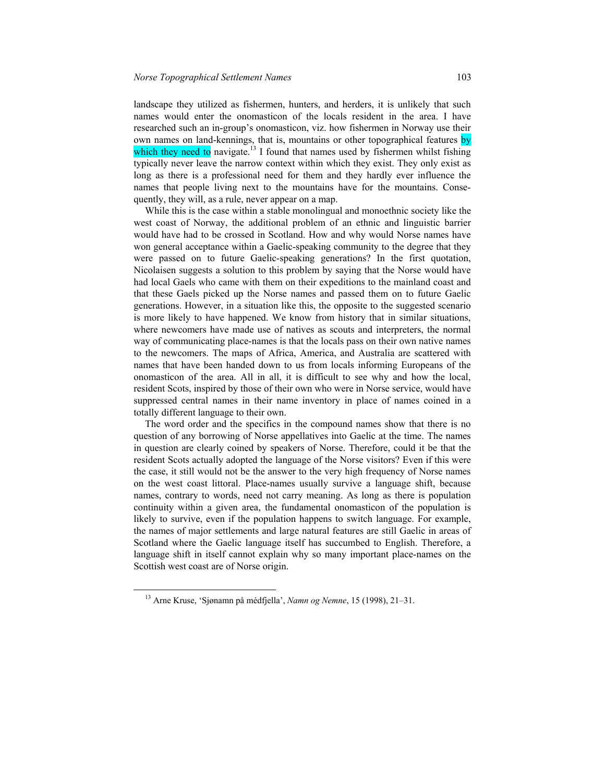landscape they utilized as fishermen, hunters, and herders, it is unlikely that such names would enter the onomasticon of the locals resident in the area. I have researched such an in-group's onomasticon, viz. how fishermen in Norway use their own names on land-kennings, that is, mountains or other topographical features by which they need to navigate.<sup>13</sup> I found that names used by fishermen whilst fishing typically never leave the narrow context within which they exist. They only exist as long as there is a professional need for them and they hardly ever influence the names that people living next to the mountains have for the mountains. Consequently, they will, as a rule, never appear on a map.

While this is the case within a stable monolingual and monoethnic society like the west coast of Norway, the additional problem of an ethnic and linguistic barrier would have had to be crossed in Scotland. How and why would Norse names have won general acceptance within a Gaelic-speaking community to the degree that they were passed on to future Gaelic-speaking generations? In the first quotation, Nicolaisen suggests a solution to this problem by saying that the Norse would have had local Gaels who came with them on their expeditions to the mainland coast and that these Gaels picked up the Norse names and passed them on to future Gaelic generations. However, in a situation like this, the opposite to the suggested scenario is more likely to have happened. We know from history that in similar situations, where newcomers have made use of natives as scouts and interpreters, the normal way of communicating place-names is that the locals pass on their own native names to the newcomers. The maps of Africa, America, and Australia are scattered with names that have been handed down to us from locals informing Europeans of the onomasticon of the area. All in all, it is difficult to see why and how the local, resident Scots, inspired by those of their own who were in Norse service, would have suppressed central names in their name inventory in place of names coined in a totally different language to their own.

The word order and the specifics in the compound names show that there is no question of any borrowing of Norse appellatives into Gaelic at the time. The names in question are clearly coined by speakers of Norse. Therefore, could it be that the resident Scots actually adopted the language of the Norse visitors? Even if this were the case, it still would not be the answer to the very high frequency of Norse names on the west coast littoral. Place-names usually survive a language shift, because names, contrary to words, need not carry meaning. As long as there is population continuity within a given area, the fundamental onomasticon of the population is likely to survive, even if the population happens to switch language. For example, the names of major settlements and large natural features are still Gaelic in areas of Scotland where the Gaelic language itself has succumbed to English. Therefore, a language shift in itself cannot explain why so many important place-names on the Scottish west coast are of Norse origin.

 <sup>13</sup> Arne Kruse, 'Sjønamn på médfjella', *Namn og Nemne*, 15 (1998), 21–31.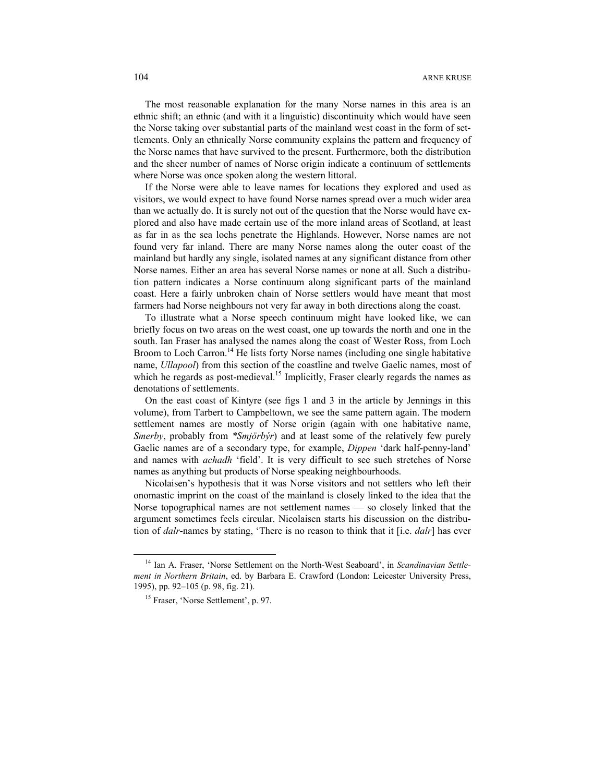The most reasonable explanation for the many Norse names in this area is an ethnic shift; an ethnic (and with it a linguistic) discontinuity which would have seen the Norse taking over substantial parts of the mainland west coast in the form of settlements. Only an ethnically Norse community explains the pattern and frequency of the Norse names that have survived to the present. Furthermore, both the distribution and the sheer number of names of Norse origin indicate a continuum of settlements where Norse was once spoken along the western littoral.

If the Norse were able to leave names for locations they explored and used as visitors, we would expect to have found Norse names spread over a much wider area than we actually do. It is surely not out of the question that the Norse would have explored and also have made certain use of the more inland areas of Scotland, at least as far in as the sea lochs penetrate the Highlands. However, Norse names are not found very far inland. There are many Norse names along the outer coast of the mainland but hardly any single, isolated names at any significant distance from other Norse names. Either an area has several Norse names or none at all. Such a distribution pattern indicates a Norse continuum along significant parts of the mainland coast. Here a fairly unbroken chain of Norse settlers would have meant that most farmers had Norse neighbours not very far away in both directions along the coast.

To illustrate what a Norse speech continuum might have looked like, we can briefly focus on two areas on the west coast, one up towards the north and one in the south. Ian Fraser has analysed the names along the coast of Wester Ross, from Loch Broom to Loch Carron.<sup>14</sup> He lists forty Norse names (including one single habitative name, *Ullapool*) from this section of the coastline and twelve Gaelic names, most of which he regards as post-medieval.<sup>15</sup> Implicitly, Fraser clearly regards the names as denotations of settlements.

On the east coast of Kintyre (see figs 1 and 3 in the article by Jennings in this volume), from Tarbert to Campbeltown, we see the same pattern again. The modern settlement names are mostly of Norse origin (again with one habitative name, *Smerby*, probably from *\*Smjörbýr*) and at least some of the relatively few purely Gaelic names are of a secondary type, for example, *Dippen* 'dark half-penny-land' and names with *achadh* 'field'. It is very difficult to see such stretches of Norse names as anything but products of Norse speaking neighbourhoods.

Nicolaisen's hypothesis that it was Norse visitors and not settlers who left their onomastic imprint on the coast of the mainland is closely linked to the idea that the Norse topographical names are not settlement names — so closely linked that the argument sometimes feels circular. Nicolaisen starts his discussion on the distribution of *dalr*-names by stating, 'There is no reason to think that it [i.e. *dalr*] has ever

 <sup>14</sup> Ian A. Fraser, 'Norse Settlement on the North-West Seaboard', in *Scandinavian Settlement in Northern Britain*, ed. by Barbara E. Crawford (London: Leicester University Press, 1995), pp. 92–105 (p. 98, fig. 21).

<sup>15</sup> Fraser, 'Norse Settlement', p. 97.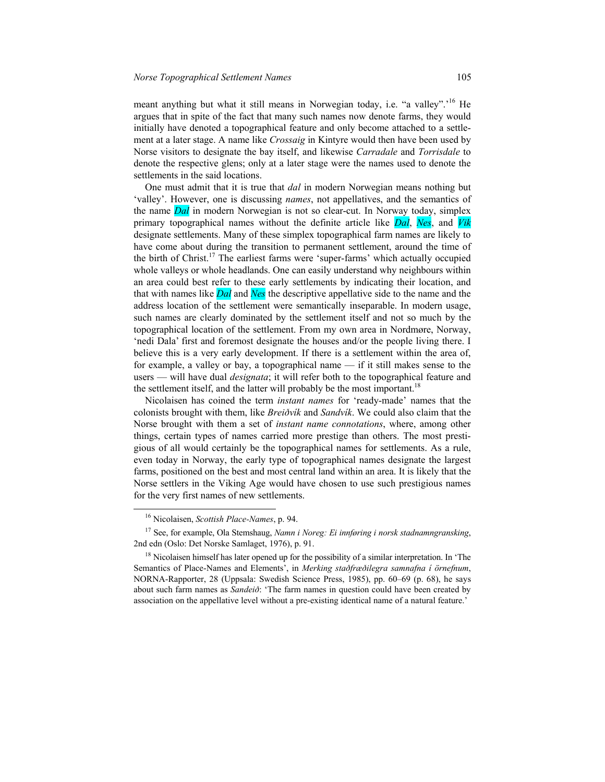meant anything but what it still means in Norwegian today, i.e. "a valley".'16 He argues that in spite of the fact that many such names now denote farms, they would initially have denoted a topographical feature and only become attached to a settlement at a later stage. A name like *Crossaig* in Kintyre would then have been used by Norse visitors to designate the bay itself, and likewise *Carradale* and *Torrisdale* to denote the respective glens; only at a later stage were the names used to denote the settlements in the said locations.

One must admit that it is true that *dal* in modern Norwegian means nothing but 'valley'. However, one is discussing *names*, not appellatives, and the semantics of the name *Dal* in modern Norwegian is not so clear-cut. In Norway today, simplex primary topographical names without the definite article like *Dal*, *Nes*, and *Vik* designate settlements. Many of these simplex topographical farm names are likely to have come about during the transition to permanent settlement, around the time of the birth of Christ.17 The earliest farms were 'super-farms' which actually occupied whole valleys or whole headlands. One can easily understand why neighbours within an area could best refer to these early settlements by indicating their location, and that with names like *Dal* and *Nes* the descriptive appellative side to the name and the address location of the settlement were semantically inseparable. In modern usage, such names are clearly dominated by the settlement itself and not so much by the topographical location of the settlement. From my own area in Nordmøre, Norway, 'nedi Dala' first and foremost designate the houses and/or the people living there. I believe this is a very early development. If there is a settlement within the area of, for example, a valley or bay, a topographical name — if it still makes sense to the users — will have dual *designata*; it will refer both to the topographical feature and the settlement itself, and the latter will probably be the most important.<sup>18</sup>

Nicolaisen has coined the term *instant names* for 'ready-made' names that the colonists brought with them, like *Breiðvík* and *Sandvík*. We could also claim that the Norse brought with them a set of *instant name connotations*, where, among other things, certain types of names carried more prestige than others. The most prestigious of all would certainly be the topographical names for settlements. As a rule, even today in Norway, the early type of topographical names designate the largest farms, positioned on the best and most central land within an area. It is likely that the Norse settlers in the Viking Age would have chosen to use such prestigious names for the very first names of new settlements.

 <sup>16</sup> Nicolaisen, *Scottish Place-Names*, p. 94.

<sup>17</sup> See, for example, Ola Stemshaug, *Namn i Noreg: Ei innføring i norsk stadnamngransking*, 2nd edn (Oslo: Det Norske Samlaget, 1976), p. 91.

<sup>&</sup>lt;sup>18</sup> Nicolaisen himself has later opened up for the possibility of a similar interpretation. In 'The Semantics of Place-Names and Elements', in *Merking staðfræðilegra samnafna í örnefnum*, NORNA-Rapporter, 28 (Uppsala: Swedish Science Press, 1985), pp. 60–69 (p. 68), he says about such farm names as *Sandeið*: 'The farm names in question could have been created by association on the appellative level without a pre-existing identical name of a natural feature.'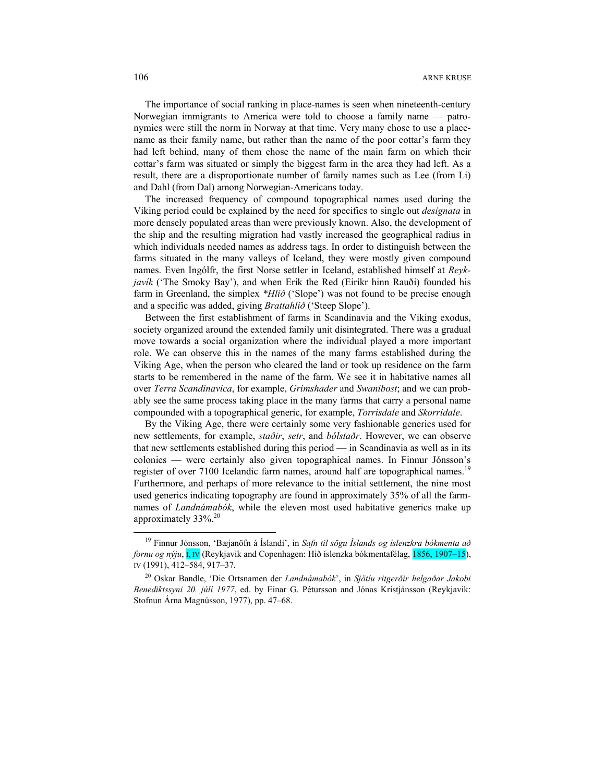The importance of social ranking in place-names is seen when nineteenth-century Norwegian immigrants to America were told to choose a family name — patronymics were still the norm in Norway at that time. Very many chose to use a placename as their family name, but rather than the name of the poor cottar's farm they had left behind, many of them chose the name of the main farm on which their cottar's farm was situated or simply the biggest farm in the area they had left. As a result, there are a disproportionate number of family names such as Lee (from Li) and Dahl (from Dal) among Norwegian-Americans today.

The increased frequency of compound topographical names used during the Viking period could be explained by the need for specifics to single out *designata* in more densely populated areas than were previously known. Also, the development of the ship and the resulting migration had vastly increased the geographical radius in which individuals needed names as address tags. In order to distinguish between the farms situated in the many valleys of Iceland, they were mostly given compound names. Even Ingólfr, the first Norse settler in Iceland, established himself at *Reykjavík* ('The Smoky Bay'), and when Erik the Red (Eiríkr hinn Rauði) founded his farm in Greenland, the simplex *\*Hlíð* ('Slope') was not found to be precise enough and a specific was added, giving *Brattahlíð* ('Steep Slope').

Between the first establishment of farms in Scandinavia and the Viking exodus, society organized around the extended family unit disintegrated. There was a gradual move towards a social organization where the individual played a more important role. We can observe this in the names of the many farms established during the Viking Age, when the person who cleared the land or took up residence on the farm starts to be remembered in the name of the farm. We see it in habitative names all over *Terra Scandinavica*, for example, *Grimshader* and *Swanibost*; and we can probably see the same process taking place in the many farms that carry a personal name compounded with a topographical generic, for example, *Torrisdale* and *Skorridale*.

By the Viking Age, there were certainly some very fashionable generics used for new settlements, for example, *staðir*, *setr*, and *bólstaðr*. However, we can observe that new settlements established during this period — in Scandinavia as well as in its colonies — were certainly also given topographical names. In Finnur Jónsson's register of over 7100 Icelandic farm names, around half are topographical names.<sup>19</sup> Furthermore, and perhaps of more relevance to the initial settlement, the nine most used generics indicating topography are found in approximately 35% of all the farmnames of *Landnámabók*, while the eleven most used habitative generics make up approximately  $33\%$ <sup>20</sup>

 <sup>19</sup> Finnur Jónsson, 'Bæjanöfn á Íslandi', in *Safn til sögu Íslands og íslenzkra bókmenta að fornu og nýju*, I, IV (Reykjavik and Copenhagen: Hið íslenzka bókmentafélag, 1856, 1907–15), IV (1991), 412–584, 917–37.

<sup>20</sup> Oskar Bandle, 'Die Ortsnamen der *Landnámabók*', in *Sjötíu ritgerðir helgaðar Jakobi Benediktssyni 20. júlí 1977*, ed. by Einar G. Pétursson and Jónas Kristjánsson (Reykjavik: Stofnun Árna Magnússon, 1977), pp. 47–68.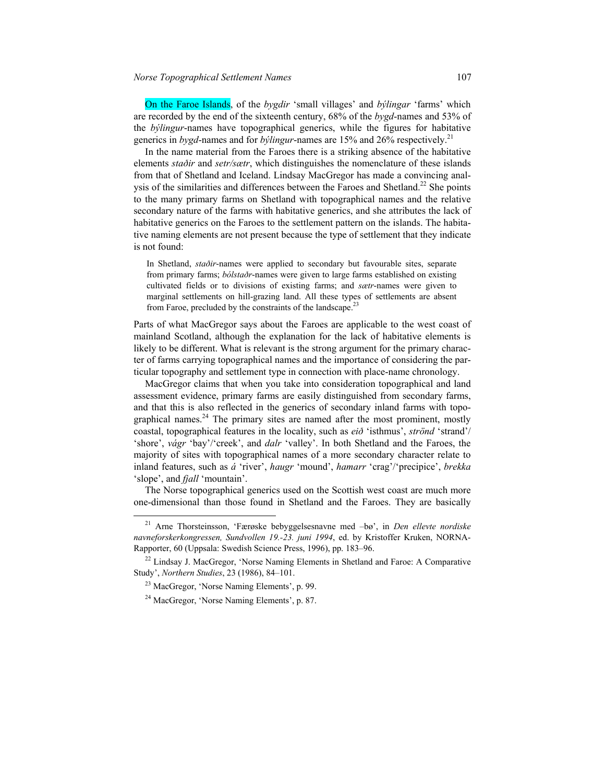#### *Norse Topographical Settlement Names* 107

On the Faroe Islands, of the *bygdir* 'small villages' and *býlingar* 'farms' which are recorded by the end of the sixteenth century, 68% of the *bygd*-names and 53% of the *býlingur*-names have topographical generics, while the figures for habitative generics in *bygd*-names and for *býlingur*-names are 15% and 26% respectively.<sup>21</sup>

In the name material from the Faroes there is a striking absence of the habitative elements *staðir* and *setr/sætr*, which distinguishes the nomenclature of these islands from that of Shetland and Iceland. Lindsay MacGregor has made a convincing analysis of the similarities and differences between the Faroes and Shetland.<sup>22</sup> She points to the many primary farms on Shetland with topographical names and the relative secondary nature of the farms with habitative generics, and she attributes the lack of habitative generics on the Faroes to the settlement pattern on the islands. The habitative naming elements are not present because the type of settlement that they indicate is not found:

In Shetland, *staðir*-names were applied to secondary but favourable sites, separate from primary farms; *bólstaðr*-names were given to large farms established on existing cultivated fields or to divisions of existing farms; and *sætr*-names were given to marginal settlements on hill-grazing land. All these types of settlements are absent from Faroe, precluded by the constraints of the landscape.<sup>23</sup>

Parts of what MacGregor says about the Faroes are applicable to the west coast of mainland Scotland, although the explanation for the lack of habitative elements is likely to be different. What is relevant is the strong argument for the primary character of farms carrying topographical names and the importance of considering the particular topography and settlement type in connection with place-name chronology.

MacGregor claims that when you take into consideration topographical and land assessment evidence, primary farms are easily distinguished from secondary farms, and that this is also reflected in the generics of secondary inland farms with topographical names.<sup>24</sup> The primary sites are named after the most prominent, mostly coastal, topographical features in the locality, such as *eið* 'isthmus', *strönd* 'strand'/ 'shore', *vágr* 'bay'/'creek', and *dalr* 'valley'. In both Shetland and the Faroes, the majority of sites with topographical names of a more secondary character relate to inland features, such as *á* 'river', *haugr* 'mound', *hamarr* 'crag'/'precipice', *brekka* 'slope', and *fjall* 'mountain'.

The Norse topographical generics used on the Scottish west coast are much more one-dimensional than those found in Shetland and the Faroes. They are basically

 <sup>21</sup> Arne Thorsteinsson, 'Færøske bebyggelsesnavne med –bø', in *Den ellevte nordiske navneforskerkongressen, Sundvollen 19.-23. juni 1994*, ed. by Kristoffer Kruken, NORNA-Rapporter, 60 (Uppsala: Swedish Science Press, 1996), pp. 183–96.

 $^{22}$  Lindsay J. MacGregor, 'Norse Naming Elements in Shetland and Faroe: A Comparative Study', *Northern Studies*, 23 (1986), 84–101.

<sup>23</sup> MacGregor, 'Norse Naming Elements', p. 99.

<sup>24</sup> MacGregor, 'Norse Naming Elements', p. 87.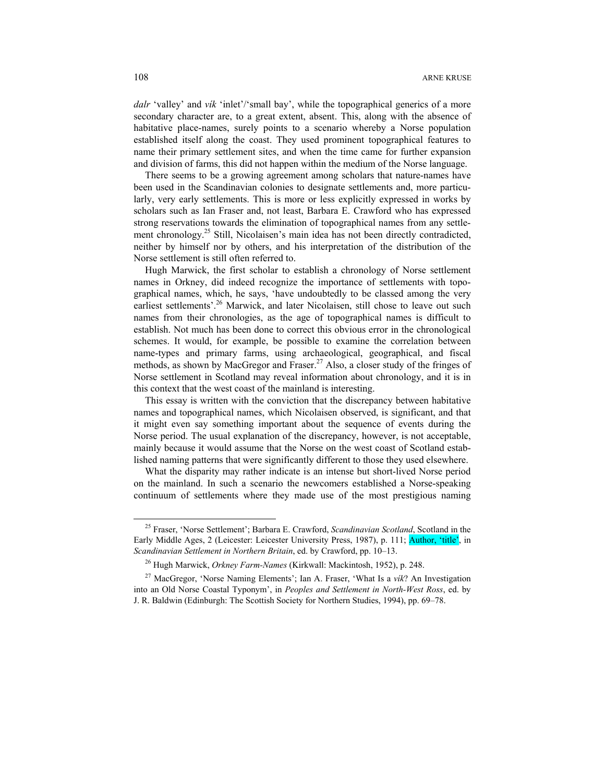*dalr* 'valley' and *vik* 'inlet'/'small bay', while the topographical generics of a more secondary character are, to a great extent, absent. This, along with the absence of habitative place-names, surely points to a scenario whereby a Norse population established itself along the coast. They used prominent topographical features to name their primary settlement sites, and when the time came for further expansion and division of farms, this did not happen within the medium of the Norse language.

There seems to be a growing agreement among scholars that nature-names have been used in the Scandinavian colonies to designate settlements and, more particularly, very early settlements. This is more or less explicitly expressed in works by scholars such as Ian Fraser and, not least, Barbara E. Crawford who has expressed strong reservations towards the elimination of topographical names from any settlement chronology.25 Still, Nicolaisen's main idea has not been directly contradicted, neither by himself nor by others, and his interpretation of the distribution of the Norse settlement is still often referred to.

Hugh Marwick, the first scholar to establish a chronology of Norse settlement names in Orkney, did indeed recognize the importance of settlements with topographical names, which, he says, 'have undoubtedly to be classed among the very earliest settlements'.<sup>26</sup> Marwick, and later Nicolaisen, still chose to leave out such names from their chronologies, as the age of topographical names is difficult to establish. Not much has been done to correct this obvious error in the chronological schemes. It would, for example, be possible to examine the correlation between name-types and primary farms, using archaeological, geographical, and fiscal methods, as shown by MacGregor and Fraser.<sup>27</sup> Also, a closer study of the fringes of Norse settlement in Scotland may reveal information about chronology, and it is in this context that the west coast of the mainland is interesting.

This essay is written with the conviction that the discrepancy between habitative names and topographical names, which Nicolaisen observed, is significant, and that it might even say something important about the sequence of events during the Norse period. The usual explanation of the discrepancy, however, is not acceptable, mainly because it would assume that the Norse on the west coast of Scotland established naming patterns that were significantly different to those they used elsewhere.

What the disparity may rather indicate is an intense but short-lived Norse period on the mainland. In such a scenario the newcomers established a Norse-speaking continuum of settlements where they made use of the most prestigious naming

 <sup>25</sup> Fraser, 'Norse Settlement'; Barbara E. Crawford, *Scandinavian Scotland*, Scotland in the Early Middle Ages, 2 (Leicester: Leicester University Press, 1987), p. 111; Author, 'title', in *Scandinavian Settlement in Northern Britain*, ed. by Crawford, pp. 10–13.

<sup>26</sup> Hugh Marwick, *Orkney Farm-Names* (Kirkwall: Mackintosh, 1952), p. 248.

<sup>27</sup> MacGregor, 'Norse Naming Elements'; Ian A. Fraser, 'What Is a *vík*? An Investigation into an Old Norse Coastal Typonym', in *Peoples and Settlement in North-West Ross*, ed. by J. R. Baldwin (Edinburgh: The Scottish Society for Northern Studies, 1994), pp. 69–78.